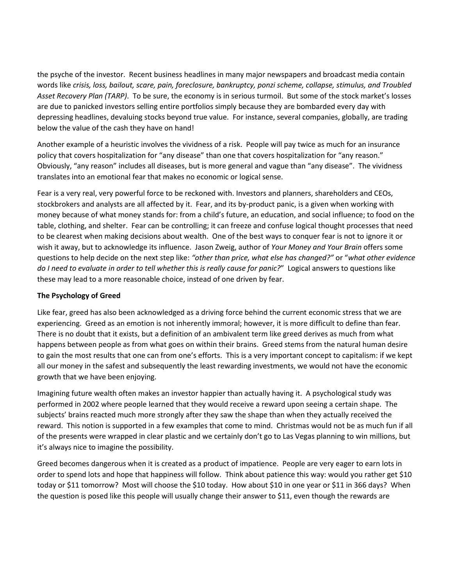the psyche of the investor. Recent business headlines in many major newspapers and broadcast media contain words like *crisis, loss, bailout, scare, pain, foreclosure, bankruptcy, ponzi scheme, collapse, stimulus, and Troubled Asset Recovery Plan (TARP)*. To be sure, the economy is in serious turmoil. But some of the stock market's losses are due to panicked investors selling entire portfolios simply because they are bombarded every day with depressing headlines, devaluing stocks beyond true value. For instance, several companies, globally, are trading below the value of the cash they have on hand!

Another example of a heuristic involves the vividness of a risk. People will pay twice as much for an insurance policy that covers hospitalization for "any disease" than one that covers hospitalization for "any reason." Obviously, "any reason" includes all diseases, but is more general and vague than "any disease". The vividness translates into an emotional fear that makes no economic or logical sense.

Fear is a very real, very powerful force to be reckoned with. Investors and planners, shareholders and CEOs, stockbrokers and analysts are all affected by it. Fear, and its by-product panic, is a given when working with money because of what money stands for: from a child's future, an education, and social influence; to food on the table, clothing, and shelter. Fear can be controlling; it can freeze and confuse logical thought processes that need to be clearest when making decisions about wealth. One of the best ways to conquer fear is not to ignore it or wish it away, but to acknowledge its influence. Jason Zweig, author of *Your Money and Your Brain* offers some questions to help decide on the next step like: *"other than price, what else has changed?"* or "*what other evidence do I need to evaluate in order to tell whether this is really cause for panic?*" Logical answers to questions like these may lead to a more reasonable choice, instead of one driven by fear.

## **The Psychology of Greed**

Like fear, greed has also been acknowledged as a driving force behind the current economic stress that we are experiencing. Greed as an emotion is not inherently immoral; however, it is more difficult to define than fear. There is no doubt that it exists, but a definition of an ambivalent term like greed derives as much from what happens between people as from what goes on within their brains. Greed stems from the natural human desire to gain the most results that one can from one's efforts. This is a very important concept to capitalism: if we kept all our money in the safest and subsequently the least rewarding investments, we would not have the economic growth that we have been enjoying.

Imagining future wealth often makes an investor happier than actually having it. A psychological study was performed in 2002 where people learned that they would receive a reward upon seeing a certain shape. The subjects' brains reacted much more strongly after they saw the shape than when they actually received the reward. This notion is supported in a few examples that come to mind. Christmas would not be as much fun if all of the presents were wrapped in clear plastic and we certainly don't go to Las Vegas planning to win millions, but it's always nice to imagine the possibility.

Greed becomes dangerous when it is created as a product of impatience. People are very eager to earn lots in order to spend lots and hope that happiness will follow. Think about patience this way: would you rather get \$10 today or \$11 tomorrow? Most will choose the \$10 today. How about \$10 in one year or \$11 in 366 days? When the question is posed like this people will usually change their answer to \$11, even though the rewards are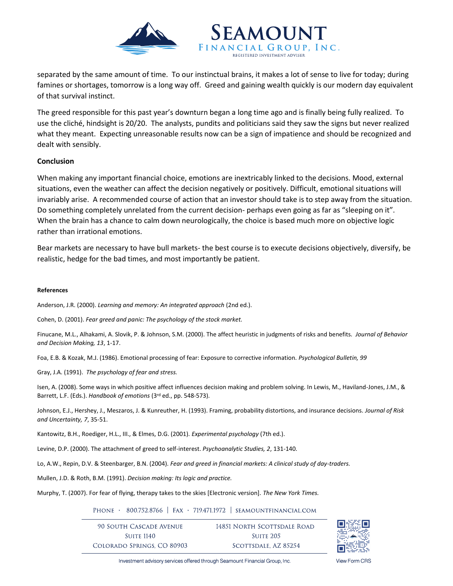

separated by the same amount of time. To our instinctual brains, it makes a lot of sense to live for today; during famines or shortages, tomorrow is a long way off. Greed and gaining wealth quickly is our modern day equivalent of that survival instinct.

SEAMOUNT FINANCIAL GROUP. INC.

The greed responsible for this past year's downturn began a long time ago and is finally being fully realized. To use the cliché, hindsight is 20/20. The analysts, pundits and politicians said they saw the signs but never realized what they meant. Expecting unreasonable results now can be a sign of impatience and should be recognized and dealt with sensibly.

## **Conclusion**

When making any important financial choice, emotions are inextricably linked to the decisions. Mood, external situations, even the weather can affect the decision negatively or positively. Difficult, emotional situations will invariably arise. A recommended course of action that an investor should take is to step away from the situation. Do something completely unrelated from the current decision- perhaps even going as far as "sleeping on it". When the brain has a chance to calm down neurologically, the choice is based much more on objective logic rather than irrational emotions.

Bear markets are necessary to have bull markets- the best course is to execute decisions objectively, diversify, be realistic, hedge for the bad times, and most importantly be patient.

## **References**

Anderson, J.R. (2000). *Learning and memory: An integrated approach* (2nd ed.).

Cohen, D. (2001). *Fear greed and panic: The psychology of the stock market.* 

Finucane, M.L., Alhakami, A. Slovik, P. & Johnson, S.M. (2000). The affect heuristic in judgments of risks and benefits. *Journal of Behavior and Decision Making, 13*, 1-17.

Foa, E.B. & Kozak, M.J. (1986). Emotional processing of fear: Exposure to corrective information. *Psychological Bulletin, 99*

Gray, J.A. (1991). *The psychology of fear and stress.* 

Isen, A. (2008). Some ways in which positive affect influences decision making and problem solving. In Lewis, M., Haviland-Jones, J.M., & Barrett, L.F. (Eds.). *Handbook of emotions* (3rd ed., pp. 548-573).

Johnson, E.J., Hershey, J., Meszaros, J. & Kunreuther, H. (1993). Framing, probability distortions, and insurance decisions. *Journal of Risk and Uncertainty, 7*, 35-51.

Kantowitz, B.H., Roediger, H.L., III., & Elmes, D.G. (2001). *Experimental psychology* (7th ed.).

Levine, D.P. (2000). The attachment of greed to self-interest. *Psychoanalytic Studies, 2*, 131-140.

Lo, A.W., Repin, D.V. & Steenbarger, B.N. (2004). *Fear and greed in financial markets: A clinical study of day-traders.* 

Mullen, J.D. & Roth, B.M. (1991). *Decision making: Its logic and practice.*

Murphy, T. (2007). For fear of flying, therapy takes to the skies [Electronic version]. *The New York Times.*

PHONE > 800.752.8766 | FAX > 719.471.1972 | SEAMOUNTFINANCIAL.COM

90 SOUTH CASCADE AVENUE 14851 NORTH SCOTTSDALE ROAD **SUITE 1140 SUITE 205** COLORADO SPRINGS, CO 80903 SCOTTSDALE, AZ 85254



Investment advisory services offered through Seamount Financial Group, Inc.